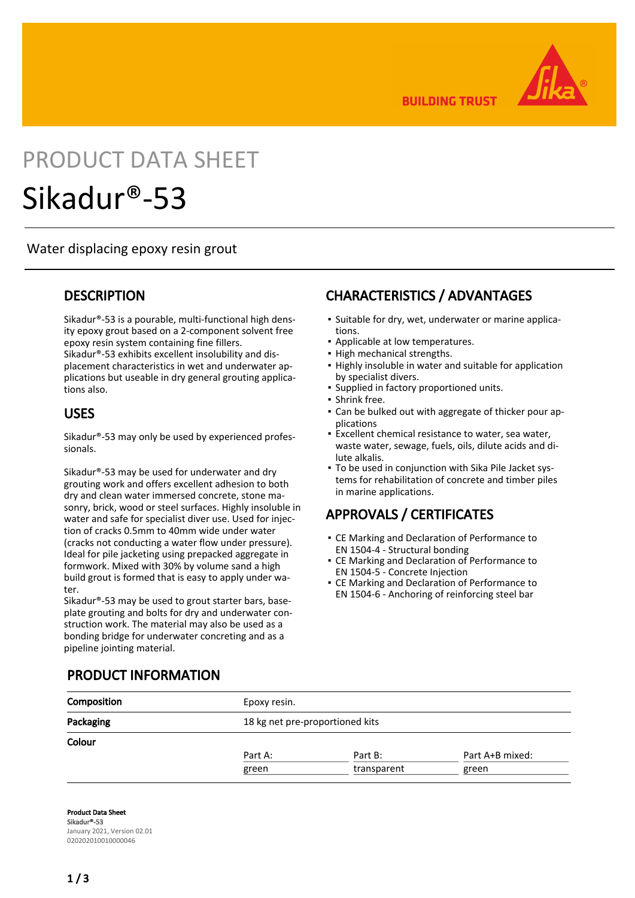

**BUILDING TRUST** 

# PRODUCT DATA SHEET

## Sikadur®-53

#### Water displacing epoxy resin grout

#### **DESCRIPTION**

Sikadur®-53 is a pourable, multi-functional high density epoxy grout based on a 2-component solvent free epoxy resin system containing fine fillers. Sikadur®-53 exhibits excellent insolubility and displacement characteristics in wet and underwater applications but useable in dry general grouting applications also.

#### USES

Sikadur®-53 may only be used by experienced professionals.

Sikadur®-53 may be used for underwater and dry grouting work and offers excellent adhesion to both dry and clean water immersed concrete, stone masonry, brick, wood or steel surfaces. Highly insoluble in water and safe for specialist diver use. Used for injection of cracks 0.5mm to 40mm wide under water (cracks not conducting a water flow under pressure). Ideal for pile jacketing using prepacked aggregate in formwork. Mixed with 30% by volume sand a high build grout is formed that is easy to apply under water.

Sikadur®-53 may be used to grout starter bars, baseplate grouting and bolts for dry and underwater construction work. The material may also be used as a bonding bridge for underwater concreting and as a pipeline jointing material.

## CHARACTERISTICS / ADVANTAGES

- Suitable for dry, wet, underwater or marine applications.
- Applicable at low temperatures.
- High mechanical strengths.
- **.** Highly insoluble in water and suitable for application by specialist divers.
- Supplied in factory proportioned units.
- Shrink free.
- Can be bulked out with aggregate of thicker pour ap-▪ plications
- Excellent chemical resistance to water, sea water, waste water, sewage, fuels, oils, dilute acids and dilute alkalis. ▪
- To be used in conjunction with Sika Pile Jacket sys-▪ tems for rehabilitation of concrete and timber piles in marine applications.

## APPROVALS / CERTIFICATES

- **CE Marking and Declaration of Performance to** EN 1504-4 - Structural bonding
- **CE Marking and Declaration of Performance to** EN 1504-5 - Concrete Injection
- **CE Marking and Declaration of Performance to** EN 1504-6 - Anchoring of reinforcing steel bar

## PRODUCT INFORMATION

| Composition | Epoxy resin. |                                 |                 |  |  |
|-------------|--------------|---------------------------------|-----------------|--|--|
| Packaging   |              | 18 kg net pre-proportioned kits |                 |  |  |
| Colour      |              |                                 |                 |  |  |
|             | Part A:      | Part B:                         | Part A+B mixed: |  |  |
|             | green        | transparent                     | green           |  |  |

Product Data Sheet Sikadur®-53 January 2021, Version 02.01 020202010010000046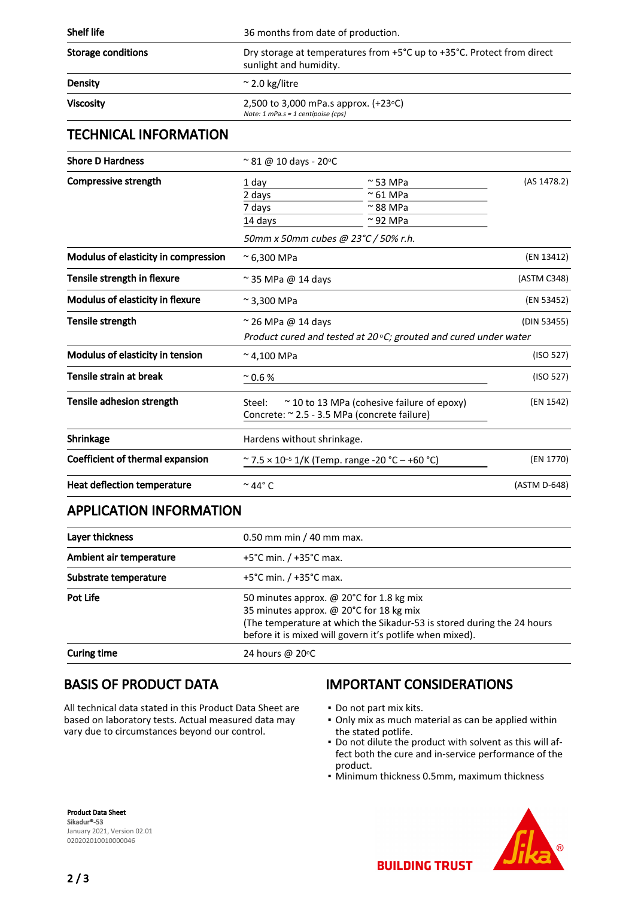| <b>Shelf life</b>         | 36 months from date of production.                                                               |
|---------------------------|--------------------------------------------------------------------------------------------------|
| <b>Storage conditions</b> | Dry storage at temperatures from +5°C up to +35°C. Protect from direct<br>sunlight and humidity. |
| <b>Density</b>            | $\approx$ 2.0 kg/litre                                                                           |
| <b>Viscosity</b>          | 2,500 to 3,000 mPa.s approx. $(+23°C)$<br>Note: $1$ mPa.s = $1$ centipoise (cps)                 |

#### TECHNICAL INFORMATION

| <b>Shore D Hardness</b>              | $\approx$ 81 @ 10 days - 20 $\circ$ C                                                                     |                                     |              |  |
|--------------------------------------|-----------------------------------------------------------------------------------------------------------|-------------------------------------|--------------|--|
| Compressive strength                 | 1 day                                                                                                     | $\sim$ 53 MPa                       | (AS 1478.2)  |  |
|                                      | 2 days                                                                                                    | $\approx$ 61 MPa                    |              |  |
|                                      | 7 days                                                                                                    | $\approx$ 88 MPa                    |              |  |
|                                      | 14 days                                                                                                   | $\approx$ 92 MPa                    |              |  |
|                                      |                                                                                                           | 50mm x 50mm cubes @ 23°C / 50% r.h. |              |  |
| Modulus of elasticity in compression | $~^{\circ}$ 6,300 MPa                                                                                     |                                     | (EN 13412)   |  |
| Tensile strength in flexure          | $\approx$ 35 MPa @ 14 days                                                                                |                                     | (ASTM C348)  |  |
| Modulus of elasticity in flexure     | $\approx$ 3,300 MPa                                                                                       |                                     | (EN 53452)   |  |
| Tensile strength                     | $\approx$ 26 MPa @ 14 days                                                                                |                                     | (DIN 53455)  |  |
|                                      | Product cured and tested at 20 $\circ$ C; grouted and cured under water                                   |                                     |              |  |
| Modulus of elasticity in tension     | $~^{\sim}$ 4,100 MPa                                                                                      |                                     | (ISO 527)    |  |
| Tensile strain at break              | $^{\sim}$ 0.6 %                                                                                           |                                     | (ISO 527)    |  |
| Tensile adhesion strength            | Steel:<br>$\sim$ 10 to 13 MPa (cohesive failure of epoxy)<br>Concrete: ~ 2.5 - 3.5 MPa (concrete failure) |                                     | (EN 1542)    |  |
| Shrinkage                            | Hardens without shrinkage.                                                                                |                                     |              |  |
| Coefficient of thermal expansion     | ~ 7.5 × 10 <sup>-5</sup> 1/K (Temp. range -20 °C – +60 °C)                                                |                                     | (EN 1770)    |  |
| Heat deflection temperature          | $\sim$ 44° C                                                                                              |                                     | (ASTM D-648) |  |
| ADDLICATION INFORMATION              |                                                                                                           |                                     |              |  |

#### APPLICATION INFORMATION

| Layer thickness         | 0.50 mm min / 40 mm max.                                                                                                                                                                                                  |  |
|-------------------------|---------------------------------------------------------------------------------------------------------------------------------------------------------------------------------------------------------------------------|--|
| Ambient air temperature | $+5^{\circ}$ C min. / $+35^{\circ}$ C max.                                                                                                                                                                                |  |
| Substrate temperature   | $+5^{\circ}$ C min. / $+35^{\circ}$ C max.                                                                                                                                                                                |  |
| Pot Life                | 50 minutes approx. @ 20°C for 1.8 kg mix<br>35 minutes approx. @ 20°C for 18 kg mix<br>(The temperature at which the Sikadur-53 is stored during the 24 hours<br>before it is mixed will govern it's potlife when mixed). |  |
| <b>Curing time</b>      | 24 hours @ 20 °C                                                                                                                                                                                                          |  |

#### BASIS OF PRODUCT DATA

All technical data stated in this Product Data Sheet are based on laboratory tests. Actual measured data may vary due to circumstances beyond our control.

#### IMPORTANT CONSIDERATIONS

- Do not part mix kits.
- Only mix as much material as can be applied within the stated potlife.
- Do not dilute the product with solvent as this will af-▪ fect both the cure and in-service performance of the product.
- Minimum thickness 0.5mm, maximum thickness

Product Data Sheet Sikadur®-53 January 2021, Version 02.01 020202010010000046



 $2/3$ 

**BUILDING TRUST**